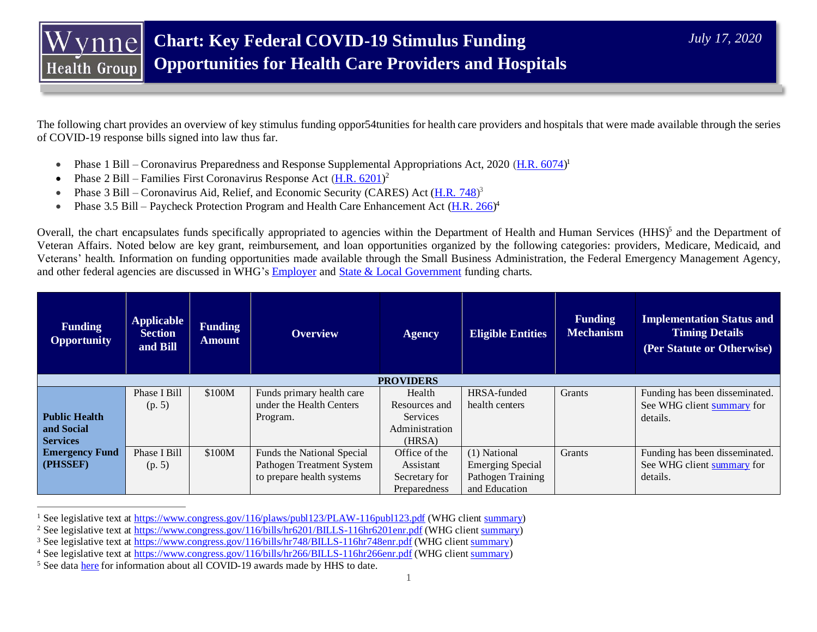The following chart provides an overview of key stimulus funding oppor54tunities for health care providers and hospitals that were made available through the series of COVID-19 response bills signed into law thus far.

- Phase 1 Bill Coronavirus Preparedness and Response Supplemental Appropriations Act, 2020 ( $\underline{H.R. 6074}$ )<sup>1</sup>
- Phase  $2$  Bill Families First Coronavirus Response Act  $(\underline{H.R. 6201})^2$
- Phase 3 Bill Coronavirus Aid, Relief, and Economic Security (CARES) Act  $(\underline{H.R. 748})^3$
- Phase 3.5 Bill Paycheck Protection Program and Health Care Enhancement Act  $(\underline{H.R. 266})^4$

Overall, the chart encapsulates funds specifically appropriated to agencies within the Department of Health and Human Services (HHS)<sup>5</sup> and the Department of Veteran Affairs. Noted below are key grant, reimbursement, and loan opportunities organized by the following categories: providers, Medicare, Medicaid, and Veterans' health. Information on funding opportunities made available through the Small Business Administration, the Federal Emergency Management Agency, and other federal agencies are discussed in WHG's [Employer](https://mypolicyhub.com/insights/key-federal-covid-19-economic-relief-opportunities-for-employers/) and [State & Local Government](https://mypolicyhub.com/insights/chart-key-federal-covid-19-economic-relief-opportunities-for-state-and-local-governments/) funding charts.

| <b>Funding</b><br><b>Opportunity</b> | <b>Applicable</b><br><b>Section</b><br>and Bill | <b>Funding</b><br><b>Amount</b> | <b>Overview</b>            | <b>Agency</b>    | <b>Eligible Entities</b> | <b>Funding</b><br><b>Mechanism</b> | <b>Implementation Status and</b><br><b>Timing Details</b><br>(Per Statute or Otherwise) |
|--------------------------------------|-------------------------------------------------|---------------------------------|----------------------------|------------------|--------------------------|------------------------------------|-----------------------------------------------------------------------------------------|
|                                      |                                                 |                                 |                            | <b>PROVIDERS</b> |                          |                                    |                                                                                         |
|                                      | Phase I Bill                                    | \$100M                          | Funds primary health care  | Health           | HRSA-funded              | Grants                             | Funding has been disseminated.                                                          |
|                                      | (p. 5)                                          |                                 | under the Health Centers   | Resources and    | health centers           |                                    | See WHG client summary for                                                              |
| <b>Public Health</b>                 |                                                 |                                 | Program.                   | Services         |                          |                                    | details.                                                                                |
| and Social                           |                                                 |                                 |                            | Administration   |                          |                                    |                                                                                         |
| <b>Services</b>                      |                                                 |                                 |                            | (HRSA)           |                          |                                    |                                                                                         |
| <b>Emergency Fund</b>                | Phase I Bill                                    | \$100M                          | Funds the National Special | Office of the    | (1) National             | Grants                             | Funding has been disseminated.                                                          |
| (PHSSEF)                             | (p. 5)                                          |                                 | Pathogen Treatment System  | Assistant        | <b>Emerging Special</b>  |                                    | See WHG client summary for                                                              |
|                                      |                                                 |                                 | to prepare health systems  | Secretary for    | Pathogen Training        |                                    | details.                                                                                |
|                                      |                                                 |                                 |                            | Preparedness     | and Education            |                                    |                                                                                         |

<sup>&</sup>lt;sup>1</sup> See legislative text a[t https://www.congress.gov/116/plaws/publ123/PLAW-116publ123.pdf](https://www.congress.gov/116/plaws/publ123/PLAW-116publ123.pdf) (WHG clien[t summary\)](https://mypolicyhub.com/content_entry/president-signs-8-3b-coronavirus-emergency-supplemental/)

<sup>&</sup>lt;sup>2</sup> See legislative text a[t https://www.congress.gov/116/bills/hr6201/BILLS-116hr6201enr.pdf](https://www.congress.gov/116/bills/hr6201/BILLS-116hr6201enr.pdf) (WHG clien[t summary\)](https://mypolicyhub.com/content_entry/second-coronavirus-stimulus-package-passes-includes-no-cost-sharing-for-covid-19-diagnostic-tests-medicaid-fmap-increase-nutrition-assistance-paid-sick-leave/)

<sup>&</sup>lt;sup>3</sup> See legislative text a[t https://www.congress.gov/116/bills/hr748/BILLS-116hr748enr.pdf](https://www.congress.gov/116/bills/hr748/BILLS-116hr748enr.pdf) (WHG clien[t summary\)](https://mypolicyhub.com/content_entry/cares-act-signed-into-law-defense-production-act-invoked-for-production-of-ventilators/)

<sup>4</sup> See legislative text a[t https://www.congress.gov/116/bills/hr266/BILLS-116hr266enr.pdf](https://www.congress.gov/116/bills/hr266/BILLS-116hr266enr.pdf) (WHG clien[t summary\)](https://mypolicyhub.com/content_entry/members-pass-484b-coronavirus-relief-package-with-funding-for-small-businesses-providers-establish-select-subcommittee-on-coronavirus-crisis/)

<sup>&</sup>lt;sup>5</sup> See data [here](https://taggs.hhs.gov/coronavirus) for information about all COVID-19 awards made by HHS to date.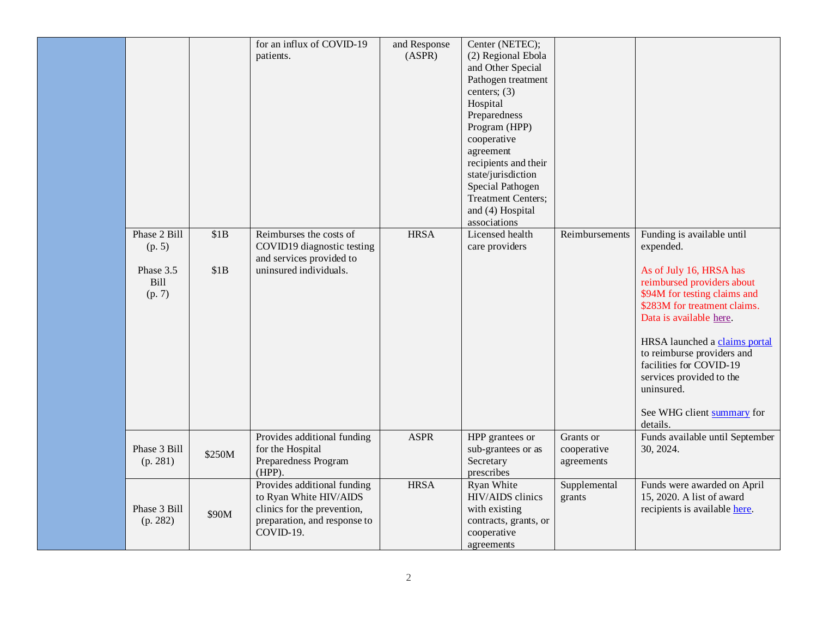|                                                              |              | for an influx of COVID-19<br>patients.                                                                                            | and Response<br>(ASPR) | Center (NETEC);<br>(2) Regional Ebola<br>and Other Special<br>Pathogen treatment<br>centers; $(3)$<br>Hospital<br>Preparedness<br>Program (HPP)<br>cooperative<br>agreement<br>recipients and their<br>state/jurisdiction<br>Special Pathogen<br><b>Treatment Centers;</b><br>and (4) Hospital<br>associations |                                        |                                                                                                                                                                                                                                                                                                                                                                           |
|--------------------------------------------------------------|--------------|-----------------------------------------------------------------------------------------------------------------------------------|------------------------|----------------------------------------------------------------------------------------------------------------------------------------------------------------------------------------------------------------------------------------------------------------------------------------------------------------|----------------------------------------|---------------------------------------------------------------------------------------------------------------------------------------------------------------------------------------------------------------------------------------------------------------------------------------------------------------------------------------------------------------------------|
| Phase 2 Bill<br>(p. 5)<br>Phase 3.5<br><b>Bill</b><br>(p. 7) | \$1B<br>\$1B | Reimburses the costs of<br>COVID19 diagnostic testing<br>and services provided to<br>uninsured individuals.                       | <b>HRSA</b>            | Licensed health<br>care providers                                                                                                                                                                                                                                                                              | Reimbursements                         | Funding is available until<br>expended.<br>As of July 16, HRSA has<br>reimbursed providers about<br>\$94M for testing claims and<br>\$283M for treatment claims.<br>Data is available here.<br>HRSA launched a claims portal<br>to reimburse providers and<br>facilities for COVID-19<br>services provided to the<br>uninsured.<br>See WHG client summary for<br>details. |
| Phase 3 Bill<br>(p. 281)                                     | \$250M       | Provides additional funding<br>for the Hospital<br>Preparedness Program<br>$(HPP)$ .                                              | <b>ASPR</b>            | HPP grantees or<br>sub-grantees or as<br>Secretary<br>prescribes                                                                                                                                                                                                                                               | Grants or<br>cooperative<br>agreements | Funds available until September<br>30, 2024.                                                                                                                                                                                                                                                                                                                              |
| Phase 3 Bill<br>(p. 282)                                     | \$90M        | Provides additional funding<br>to Ryan White HIV/AIDS<br>clinics for the prevention,<br>preparation, and response to<br>COVID-19. | <b>HRSA</b>            | Ryan White<br>HIV/AIDS clinics<br>with existing<br>contracts, grants, or<br>cooperative<br>agreements                                                                                                                                                                                                          | Supplemental<br>grants                 | Funds were awarded on April<br>15, 2020. A list of award<br>recipients is available here.                                                                                                                                                                                                                                                                                 |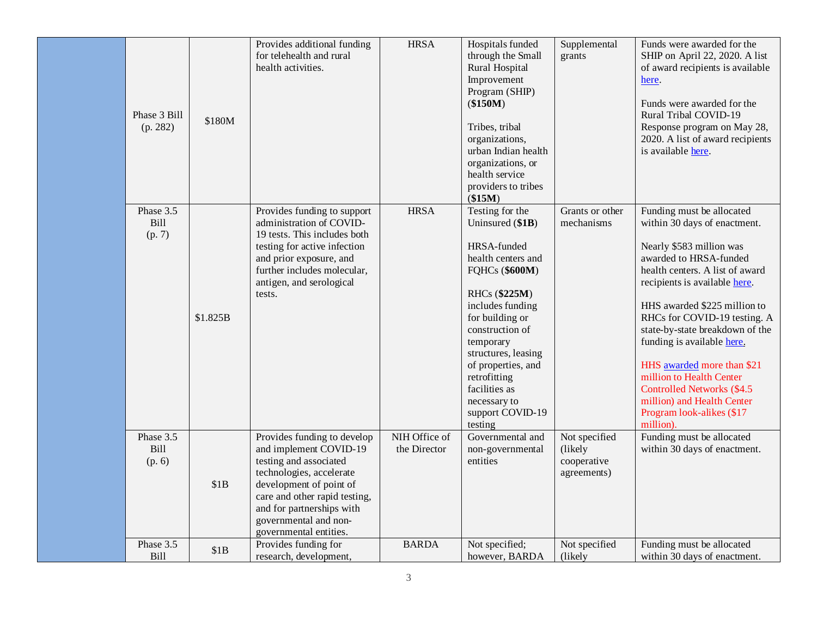| Phase 3 Bill<br>(p. 282)           | \$180M   | Provides additional funding<br>for telehealth and rural<br>health activities.                                                                                                                                                                           | <b>HRSA</b>                   | Hospitals funded<br>through the Small<br>Rural Hospital<br>Improvement<br>Program (SHIP)<br>(\$150M)<br>Tribes, tribal<br>organizations,<br>urban Indian health<br>organizations, or<br>health service<br>providers to tribes<br>(\$15M)                                                                               | Supplemental<br>grants                                  | Funds were awarded for the<br>SHIP on April 22, 2020. A list<br>of award recipients is available<br>here.<br>Funds were awarded for the<br>Rural Tribal COVID-19<br>Response program on May 28,<br>2020. A list of award recipients<br>is available here.                                                                                                                                                                                                                             |
|------------------------------------|----------|---------------------------------------------------------------------------------------------------------------------------------------------------------------------------------------------------------------------------------------------------------|-------------------------------|------------------------------------------------------------------------------------------------------------------------------------------------------------------------------------------------------------------------------------------------------------------------------------------------------------------------|---------------------------------------------------------|---------------------------------------------------------------------------------------------------------------------------------------------------------------------------------------------------------------------------------------------------------------------------------------------------------------------------------------------------------------------------------------------------------------------------------------------------------------------------------------|
| Phase 3.5<br>Bill<br>(p. 7)        | \$1.825B | Provides funding to support<br>administration of COVID-<br>19 tests. This includes both<br>testing for active infection<br>and prior exposure, and<br>further includes molecular,<br>antigen, and serological<br>tests.                                 | <b>HRSA</b>                   | Testing for the<br>Uninsured (\$1B)<br>HRSA-funded<br>health centers and<br><b>FQHCs (\$600M)</b><br>RHCs (\$225M)<br>includes funding<br>for building or<br>construction of<br>temporary<br>structures, leasing<br>of properties, and<br>retrofitting<br>facilities as<br>necessary to<br>support COVID-19<br>testing | Grants or other<br>mechanisms                           | Funding must be allocated<br>within 30 days of enactment.<br>Nearly \$583 million was<br>awarded to HRSA-funded<br>health centers. A list of award<br>recipients is available here.<br>HHS awarded \$225 million to<br>RHCs for COVID-19 testing. A<br>state-by-state breakdown of the<br>funding is available here.<br>HHS awarded more than \$21<br>million to Health Center<br>Controlled Networks (\$4.5)<br>million) and Health Center<br>Program look-alikes (\$17<br>million). |
| Phase 3.5<br><b>Bill</b><br>(p. 6) | \$1B     | Provides funding to develop<br>and implement COVID-19<br>testing and associated<br>technologies, accelerate<br>development of point of<br>care and other rapid testing,<br>and for partnerships with<br>governmental and non-<br>governmental entities. | NIH Office of<br>the Director | Governmental and<br>non-governmental<br>entities                                                                                                                                                                                                                                                                       | Not specified<br>(likely)<br>cooperative<br>agreements) | Funding must be allocated<br>within 30 days of enactment.                                                                                                                                                                                                                                                                                                                                                                                                                             |
| Phase 3.5<br>Bill                  | \$1B     | Provides funding for<br>research, development,                                                                                                                                                                                                          | <b>BARDA</b>                  | Not specified;<br>however, BARDA                                                                                                                                                                                                                                                                                       | Not specified<br>(likely)                               | Funding must be allocated<br>within 30 days of enactment.                                                                                                                                                                                                                                                                                                                                                                                                                             |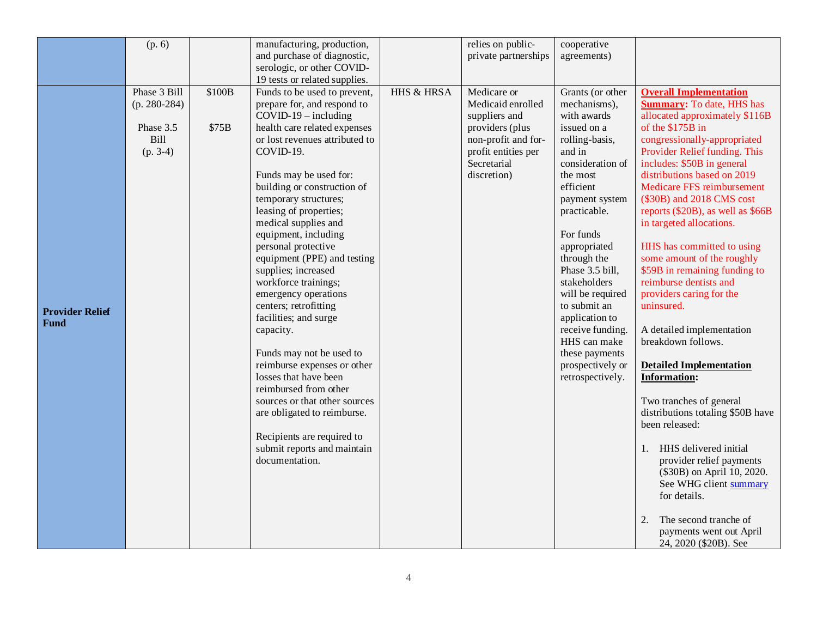|                                | (p. 6)                                                                   |                 | manufacturing, production,<br>and purchase of diagnostic,<br>serologic, or other COVID-<br>19 tests or related supplies.                                                                                                                                                                                                                                                                                                                                                                                                                                                                                                                                                                                                                                                                 |                       | relies on public-<br>private partnerships                                                                                                        | cooperative<br>agreements)                                                                                                                                                                                                                                                                                                                                                                                   |                                                                                                                                                                                                                                                                                                                                                                                                                                                                                                                                                                                                                                                                                                                                                                                                                                                                                                                                                                        |
|--------------------------------|--------------------------------------------------------------------------|-----------------|------------------------------------------------------------------------------------------------------------------------------------------------------------------------------------------------------------------------------------------------------------------------------------------------------------------------------------------------------------------------------------------------------------------------------------------------------------------------------------------------------------------------------------------------------------------------------------------------------------------------------------------------------------------------------------------------------------------------------------------------------------------------------------------|-----------------------|--------------------------------------------------------------------------------------------------------------------------------------------------|--------------------------------------------------------------------------------------------------------------------------------------------------------------------------------------------------------------------------------------------------------------------------------------------------------------------------------------------------------------------------------------------------------------|------------------------------------------------------------------------------------------------------------------------------------------------------------------------------------------------------------------------------------------------------------------------------------------------------------------------------------------------------------------------------------------------------------------------------------------------------------------------------------------------------------------------------------------------------------------------------------------------------------------------------------------------------------------------------------------------------------------------------------------------------------------------------------------------------------------------------------------------------------------------------------------------------------------------------------------------------------------------|
| <b>Provider Relief</b><br>Fund | Phase 3 Bill<br>$(p. 280-284)$<br>Phase 3.5<br><b>Bill</b><br>$(p. 3-4)$ | \$100B<br>\$75B | Funds to be used to prevent,<br>prepare for, and respond to<br>$COVID-19$ – including<br>health care related expenses<br>or lost revenues attributed to<br>COVID-19.<br>Funds may be used for:<br>building or construction of<br>temporary structures;<br>leasing of properties;<br>medical supplies and<br>equipment, including<br>personal protective<br>equipment (PPE) and testing<br>supplies; increased<br>workforce trainings;<br>emergency operations<br>centers; retrofitting<br>facilities; and surge<br>capacity.<br>Funds may not be used to<br>reimburse expenses or other<br>losses that have been<br>reimbursed from other<br>sources or that other sources<br>are obligated to reimburse.<br>Recipients are required to<br>submit reports and maintain<br>documentation. | <b>HHS &amp; HRSA</b> | Medicare or<br>Medicaid enrolled<br>suppliers and<br>providers (plus<br>non-profit and for-<br>profit entities per<br>Secretarial<br>discretion) | Grants (or other<br>mechanisms),<br>with awards<br>issued on a<br>rolling-basis,<br>and in<br>consideration of<br>the most<br>efficient<br>payment system<br>practicable.<br>For funds<br>appropriated<br>through the<br>Phase 3.5 bill,<br>stakeholders<br>will be required<br>to submit an<br>application to<br>receive funding.<br>HHS can make<br>these payments<br>prospectively or<br>retrospectively. | <b>Overall Implementation</b><br><b>Summary:</b> To date, HHS has<br>allocated approximately \$116B<br>of the \$175B in<br>congressionally-appropriated<br>Provider Relief funding. This<br>includes: \$50B in general<br>distributions based on 2019<br>Medicare FFS reimbursement<br>(\$30B) and 2018 CMS cost<br>reports (\$20B), as well as \$66B<br>in targeted allocations.<br>HHS has committed to using<br>some amount of the roughly<br>\$59B in remaining funding to<br>reimburse dentists and<br>providers caring for the<br>uninsured.<br>A detailed implementation<br>breakdown follows.<br><b>Detailed Implementation</b><br><b>Information:</b><br>Two tranches of general<br>distributions totaling \$50B have<br>been released:<br>HHS delivered initial<br>1.<br>provider relief payments<br>(\$30B) on April 10, 2020.<br>See WHG client summary<br>for details.<br>The second tranche of<br>2.<br>payments went out April<br>24, 2020 (\$20B). See |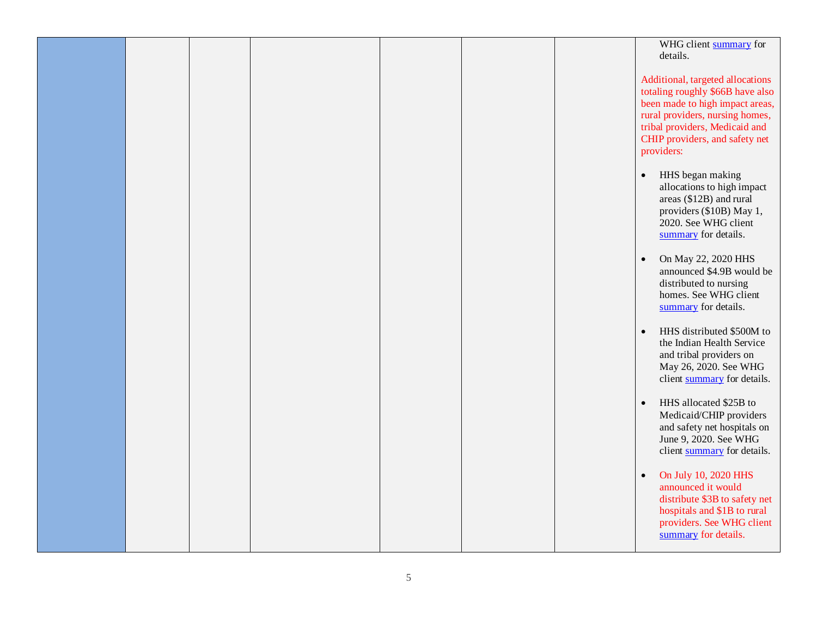|  |  |  | WHG client summary for<br>details.                                                                                                                                                                                           |
|--|--|--|------------------------------------------------------------------------------------------------------------------------------------------------------------------------------------------------------------------------------|
|  |  |  | Additional, targeted allocations<br>totaling roughly \$66B have also<br>been made to high impact areas,<br>rural providers, nursing homes,<br>tribal providers, Medicaid and<br>CHIP providers, and safety net<br>providers: |
|  |  |  | HHS began making<br>$\bullet$<br>allocations to high impact<br>areas (\$12B) and rural<br>providers (\$10B) May 1,<br>2020. See WHG client<br>summary for details.                                                           |
|  |  |  | On May 22, 2020 HHS<br>$\bullet$<br>announced \$4.9B would be<br>distributed to nursing<br>homes. See WHG client<br>summary for details.                                                                                     |
|  |  |  | HHS distributed \$500M to<br>$\bullet$<br>the Indian Health Service<br>and tribal providers on<br>May 26, 2020. See WHG<br>client summary for details.                                                                       |
|  |  |  | HHS allocated \$25B to<br>$\bullet$<br>Medicaid/CHIP providers<br>and safety net hospitals on<br>June 9, 2020. See WHG<br>client summary for details.                                                                        |
|  |  |  | On July 10, 2020 HHS<br>$\bullet$<br>announced it would<br>distribute \$3B to safety net<br>hospitals and \$1B to rural<br>providers. See WHG client<br>summary for details.                                                 |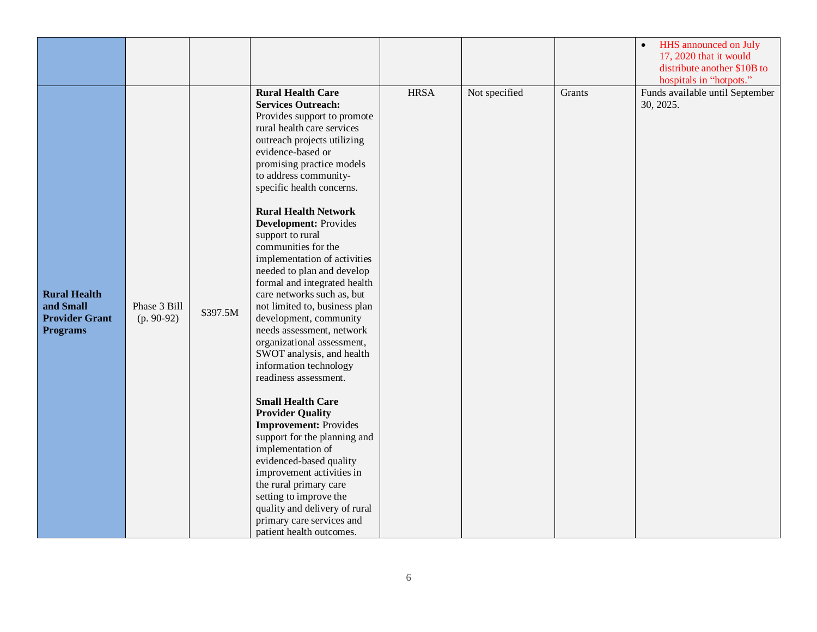|                                                                              |                              |          |                                                                                                                                                                                                                                                                                                                                                                                                                                                                                                                                                                                                                                                                                                                                                                                                                                                                                                                                                                                                                                                         |             |               |        | <b>HHS</b> announced on July<br>$\bullet$<br>17, 2020 that it would<br>distribute another \$10B to<br>hospitals in "hotpots." |
|------------------------------------------------------------------------------|------------------------------|----------|---------------------------------------------------------------------------------------------------------------------------------------------------------------------------------------------------------------------------------------------------------------------------------------------------------------------------------------------------------------------------------------------------------------------------------------------------------------------------------------------------------------------------------------------------------------------------------------------------------------------------------------------------------------------------------------------------------------------------------------------------------------------------------------------------------------------------------------------------------------------------------------------------------------------------------------------------------------------------------------------------------------------------------------------------------|-------------|---------------|--------|-------------------------------------------------------------------------------------------------------------------------------|
| <b>Rural Health</b><br>and Small<br><b>Provider Grant</b><br><b>Programs</b> | Phase 3 Bill<br>$(p. 90-92)$ | \$397.5M | <b>Rural Health Care</b><br><b>Services Outreach:</b><br>Provides support to promote<br>rural health care services<br>outreach projects utilizing<br>evidence-based or<br>promising practice models<br>to address community-<br>specific health concerns.<br><b>Rural Health Network</b><br><b>Development: Provides</b><br>support to rural<br>communities for the<br>implementation of activities<br>needed to plan and develop<br>formal and integrated health<br>care networks such as, but<br>not limited to, business plan<br>development, community<br>needs assessment, network<br>organizational assessment,<br>SWOT analysis, and health<br>information technology<br>readiness assessment.<br><b>Small Health Care</b><br><b>Provider Quality</b><br><b>Improvement: Provides</b><br>support for the planning and<br>implementation of<br>evidenced-based quality<br>improvement activities in<br>the rural primary care<br>setting to improve the<br>quality and delivery of rural<br>primary care services and<br>patient health outcomes. | <b>HRSA</b> | Not specified | Grants | Funds available until September<br>30, 2025.                                                                                  |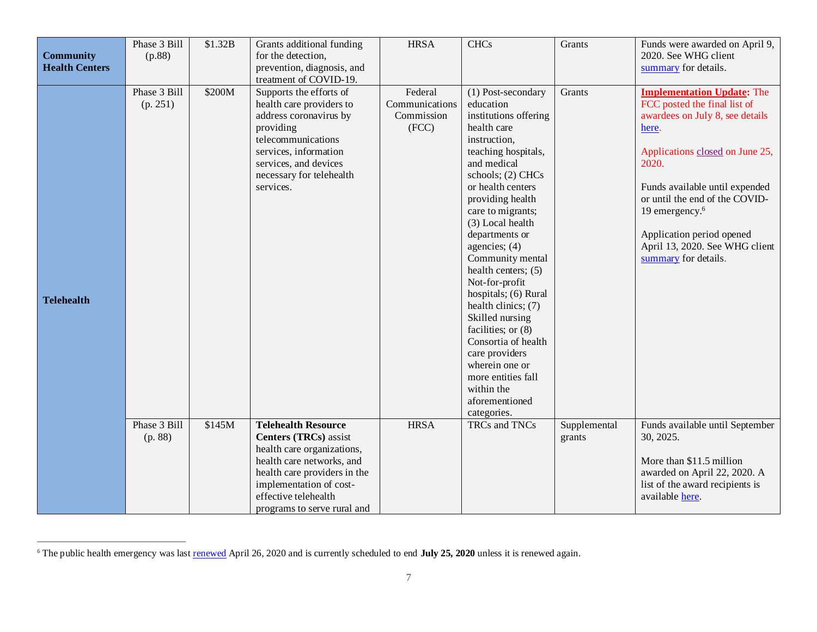| <b>Community</b><br><b>Health Centers</b> | Phase 3 Bill<br>(p.88)   | \$1.32B | Grants additional funding<br>for the detection,<br>prevention, diagnosis, and<br>treatment of COVID-19.                                                                                                     | <b>HRSA</b>                                      | <b>CHCs</b>                                                                                                                                                                                                                                                                                                                                                                                                                                                                                                                                                  | Grants                 | Funds were awarded on April 9,<br>2020. See WHG client<br>summary for details.                                                                                                                                                                                                                                                                     |
|-------------------------------------------|--------------------------|---------|-------------------------------------------------------------------------------------------------------------------------------------------------------------------------------------------------------------|--------------------------------------------------|--------------------------------------------------------------------------------------------------------------------------------------------------------------------------------------------------------------------------------------------------------------------------------------------------------------------------------------------------------------------------------------------------------------------------------------------------------------------------------------------------------------------------------------------------------------|------------------------|----------------------------------------------------------------------------------------------------------------------------------------------------------------------------------------------------------------------------------------------------------------------------------------------------------------------------------------------------|
| <b>Telehealth</b>                         | Phase 3 Bill<br>(p. 251) | \$200M  | Supports the efforts of<br>health care providers to<br>address coronavirus by<br>providing<br>telecommunications<br>services, information<br>services, and devices<br>necessary for telehealth<br>services. | Federal<br>Communications<br>Commission<br>(FCC) | (1) Post-secondary<br>education<br>institutions offering<br>health care<br>instruction,<br>teaching hospitals,<br>and medical<br>schools; (2) CHCs<br>or health centers<br>providing health<br>care to migrants;<br>(3) Local health<br>departments or<br>agencies; (4)<br>Community mental<br>health centers; (5)<br>Not-for-profit<br>hospitals; (6) Rural<br>health clinics; (7)<br>Skilled nursing<br>facilities; or (8)<br>Consortia of health<br>care providers<br>wherein one or<br>more entities fall<br>within the<br>aforementioned<br>categories. | Grants                 | <b>Implementation Update: The</b><br>FCC posted the final list of<br>awardees on July 8, see details<br>here.<br>Applications closed on June 25,<br>2020.<br>Funds available until expended<br>or until the end of the COVID-<br>19 emergency. <sup>6</sup><br>Application period opened<br>April 13, 2020. See WHG client<br>summary for details. |
|                                           | Phase 3 Bill<br>(p. 88)  | \$145M  | <b>Telehealth Resource</b><br><b>Centers (TRCs)</b> assist<br>health care organizations,<br>health care networks, and<br>health care providers in the<br>implementation of cost-<br>effective telehealth    | <b>HRSA</b>                                      | TRCs and TNCs                                                                                                                                                                                                                                                                                                                                                                                                                                                                                                                                                | Supplemental<br>grants | Funds available until September<br>30, 2025.<br>More than \$11.5 million<br>awarded on April 22, 2020. A<br>list of the award recipients is<br>available here.                                                                                                                                                                                     |

<sup>&</sup>lt;sup>6</sup> The public health emergency was last [renewed](https://www.phe.gov/emergency/news/healthactions/phe/Pages/covid19-21apr2020.aspx) April 26, 2020 and is currently scheduled to end **July 25, 2020** unless it is renewed again.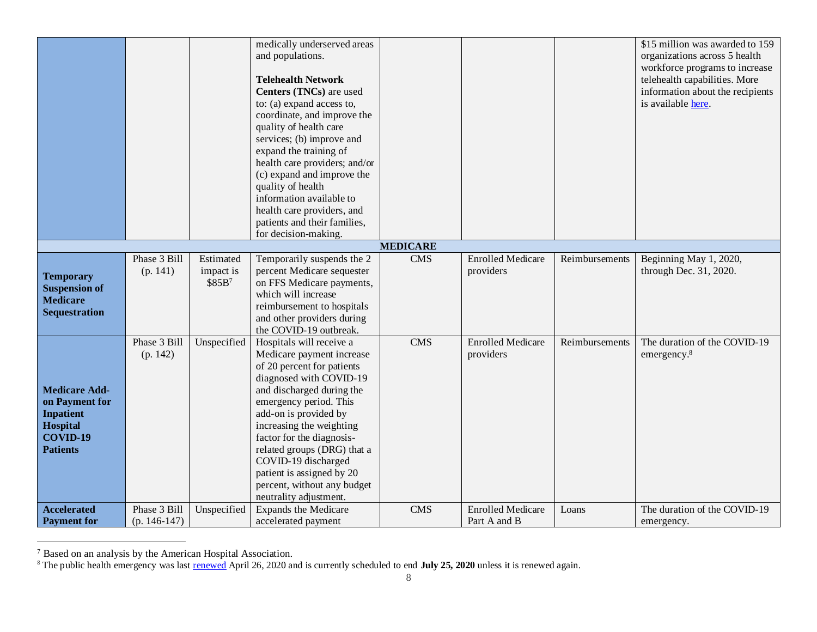|                                                                                                              |                                |                                              | medically underserved areas<br>and populations.<br><b>Telehealth Network</b><br>Centers (TNCs) are used<br>to: (a) expand access to,<br>coordinate, and improve the<br>quality of health care<br>services; (b) improve and<br>expand the training of<br>health care providers; and/or<br>(c) expand and improve the<br>quality of health<br>information available to<br>health care providers, and<br>patients and their families,<br>for decision-making. |                 |                                          |                | \$15 million was awarded to 159<br>organizations across 5 health<br>workforce programs to increase<br>telehealth capabilities. More<br>information about the recipients<br>is available here. |
|--------------------------------------------------------------------------------------------------------------|--------------------------------|----------------------------------------------|------------------------------------------------------------------------------------------------------------------------------------------------------------------------------------------------------------------------------------------------------------------------------------------------------------------------------------------------------------------------------------------------------------------------------------------------------------|-----------------|------------------------------------------|----------------|-----------------------------------------------------------------------------------------------------------------------------------------------------------------------------------------------|
|                                                                                                              |                                |                                              |                                                                                                                                                                                                                                                                                                                                                                                                                                                            | <b>MEDICARE</b> |                                          |                |                                                                                                                                                                                               |
| <b>Temporary</b><br><b>Suspension of</b><br><b>Medicare</b><br><b>Sequestration</b>                          | Phase 3 Bill<br>(p. 141)       | Estimated<br>impact is<br>\$85B <sup>7</sup> | Temporarily suspends the 2<br>percent Medicare sequester<br>on FFS Medicare payments,<br>which will increase<br>reimbursement to hospitals<br>and other providers during<br>the COVID-19 outbreak.                                                                                                                                                                                                                                                         | <b>CMS</b>      | <b>Enrolled Medicare</b><br>providers    | Reimbursements | Beginning May 1, 2020,<br>through Dec. 31, 2020.                                                                                                                                              |
| <b>Medicare Add-</b><br>on Payment for<br><b>Inpatient</b><br><b>Hospital</b><br>COVID-19<br><b>Patients</b> | Phase 3 Bill<br>(p. 142)       | Unspecified                                  | Hospitals will receive a<br>Medicare payment increase<br>of 20 percent for patients<br>diagnosed with COVID-19<br>and discharged during the<br>emergency period. This<br>add-on is provided by<br>increasing the weighting<br>factor for the diagnosis-<br>related groups (DRG) that a<br>COVID-19 discharged<br>patient is assigned by 20<br>percent, without any budget<br>neutrality adjustment.                                                        | <b>CMS</b>      | <b>Enrolled Medicare</b><br>providers    | Reimbursements | The duration of the COVID-19<br>emergency. <sup>8</sup>                                                                                                                                       |
| <b>Accelerated</b><br><b>Payment for</b>                                                                     | Phase 3 Bill<br>$(p. 146-147)$ | Unspecified                                  | <b>Expands the Medicare</b><br>accelerated payment                                                                                                                                                                                                                                                                                                                                                                                                         | <b>CMS</b>      | <b>Enrolled Medicare</b><br>Part A and B | Loans          | The duration of the COVID-19<br>emergency.                                                                                                                                                    |

<sup>&</sup>lt;sup>7</sup> Based on an analysis by the American Hospital Association.

<sup>&</sup>lt;sup>8</sup> The public health emergency was last [renewed](https://www.phe.gov/emergency/news/healthactions/phe/Pages/covid19-21apr2020.aspx) April 26, 2020 and is currently scheduled to end **July 25, 2020** unless it is renewed again.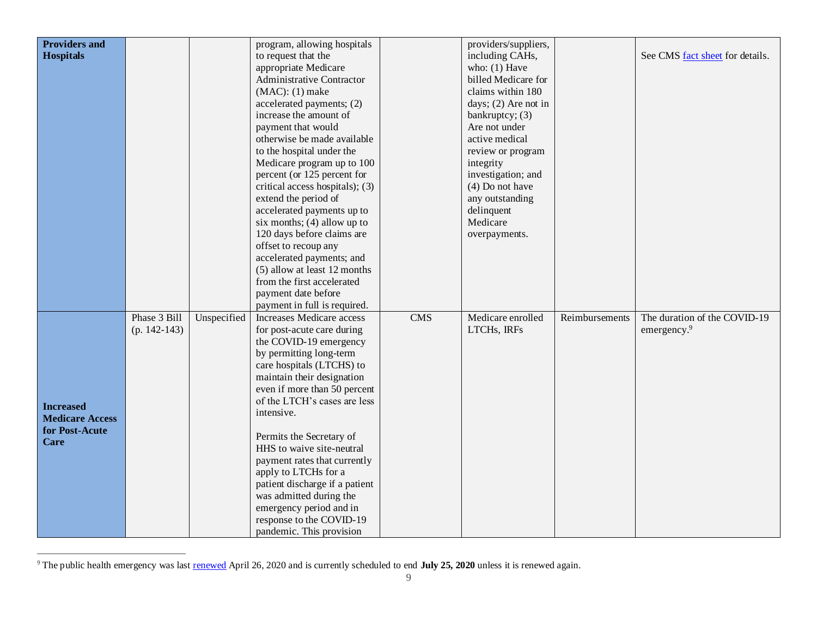| <b>Providers and</b>   |                |             | program, allowing hospitals                                  |            | providers/suppliers,   |                |                                 |
|------------------------|----------------|-------------|--------------------------------------------------------------|------------|------------------------|----------------|---------------------------------|
| <b>Hospitals</b>       |                |             | to request that the                                          |            | including CAHs,        |                | See CMS fact sheet for details. |
|                        |                |             | appropriate Medicare                                         |            | who: $(1)$ Have        |                |                                 |
|                        |                |             | <b>Administrative Contractor</b>                             |            | billed Medicare for    |                |                                 |
|                        |                |             | $(MAC): (1)$ make                                            |            | claims within 180      |                |                                 |
|                        |                |             | accelerated payments; (2)                                    |            | days; $(2)$ Are not in |                |                                 |
|                        |                |             | increase the amount of                                       |            | bankruptcy; $(3)$      |                |                                 |
|                        |                |             | payment that would                                           |            | Are not under          |                |                                 |
|                        |                |             | otherwise be made available                                  |            | active medical         |                |                                 |
|                        |                |             | to the hospital under the                                    |            | review or program      |                |                                 |
|                        |                |             | Medicare program up to 100                                   |            | integrity              |                |                                 |
|                        |                |             | percent (or 125 percent for                                  |            | investigation; and     |                |                                 |
|                        |                |             | critical access hospitals); (3)                              |            | $(4)$ Do not have      |                |                                 |
|                        |                |             | extend the period of                                         |            | any outstanding        |                |                                 |
|                        |                |             | accelerated payments up to                                   |            | delinquent             |                |                                 |
|                        |                |             | six months; $(4)$ allow up to                                |            | Medicare               |                |                                 |
|                        |                |             | 120 days before claims are                                   |            | overpayments.          |                |                                 |
|                        |                |             | offset to recoup any                                         |            |                        |                |                                 |
|                        |                |             | accelerated payments; and                                    |            |                        |                |                                 |
|                        |                |             | (5) allow at least 12 months                                 |            |                        |                |                                 |
|                        |                |             | from the first accelerated                                   |            |                        |                |                                 |
|                        |                |             | payment date before                                          |            |                        |                |                                 |
|                        |                |             | payment in full is required.                                 |            |                        |                |                                 |
|                        | Phase 3 Bill   | Unspecified | <b>Increases Medicare access</b>                             | <b>CMS</b> | Medicare enrolled      | Reimbursements | The duration of the COVID-19    |
|                        | $(p. 142-143)$ |             | for post-acute care during                                   |            | LTCHs, IRFs            |                | emergency. <sup>9</sup>         |
|                        |                |             | the COVID-19 emergency                                       |            |                        |                |                                 |
|                        |                |             | by permitting long-term                                      |            |                        |                |                                 |
|                        |                |             | care hospitals (LTCHS) to                                    |            |                        |                |                                 |
|                        |                |             | maintain their designation                                   |            |                        |                |                                 |
|                        |                |             | even if more than 50 percent<br>of the LTCH's cases are less |            |                        |                |                                 |
| <b>Increased</b>       |                |             | intensive.                                                   |            |                        |                |                                 |
| <b>Medicare Access</b> |                |             |                                                              |            |                        |                |                                 |
| for Post-Acute         |                |             | Permits the Secretary of                                     |            |                        |                |                                 |
| <b>Care</b>            |                |             | HHS to waive site-neutral                                    |            |                        |                |                                 |
|                        |                |             | payment rates that currently                                 |            |                        |                |                                 |
|                        |                |             | apply to LTCHs for a                                         |            |                        |                |                                 |
|                        |                |             | patient discharge if a patient                               |            |                        |                |                                 |
|                        |                |             | was admitted during the                                      |            |                        |                |                                 |
|                        |                |             | emergency period and in                                      |            |                        |                |                                 |
|                        |                |             | response to the COVID-19                                     |            |                        |                |                                 |
|                        |                |             | pandemic. This provision                                     |            |                        |                |                                 |

<sup>&</sup>lt;sup>9</sup> The public health emergency was last [renewed](https://www.phe.gov/emergency/news/healthactions/phe/Pages/covid19-21apr2020.aspx) April 26, 2020 and is currently scheduled to end **July 25, 2020** unless it is renewed again.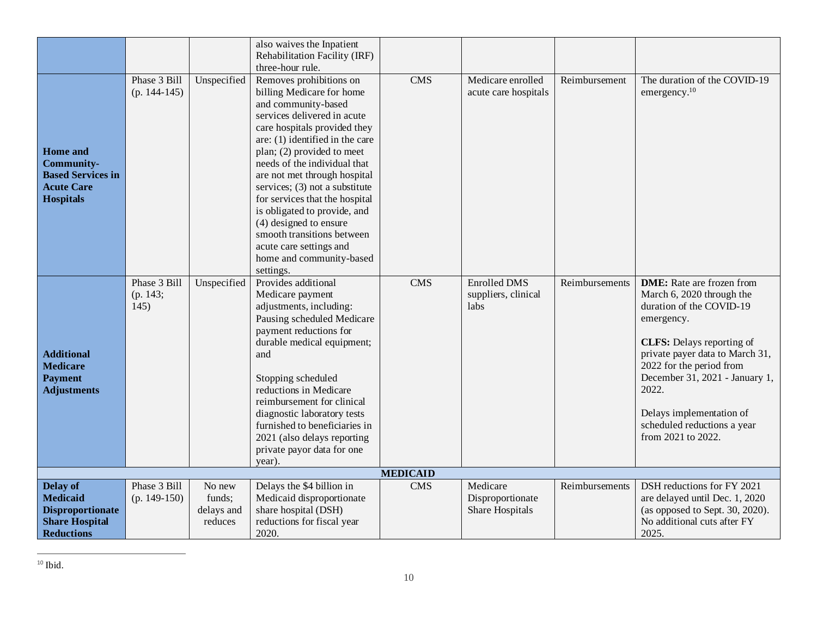|                          |                |             | also waives the Inpatient                                 |                 |                      |                |                                         |
|--------------------------|----------------|-------------|-----------------------------------------------------------|-----------------|----------------------|----------------|-----------------------------------------|
|                          |                |             | Rehabilitation Facility (IRF)                             |                 |                      |                |                                         |
|                          |                |             | three-hour rule.                                          |                 |                      |                |                                         |
|                          | Phase 3 Bill   | Unspecified | Removes prohibitions on                                   | <b>CMS</b>      | Medicare enrolled    | Reimbursement  | The duration of the COVID-19            |
|                          | $(p. 144-145)$ |             | billing Medicare for home                                 |                 | acute care hospitals |                | emergency. <sup>10</sup>                |
|                          |                |             | and community-based                                       |                 |                      |                |                                         |
|                          |                |             | services delivered in acute                               |                 |                      |                |                                         |
|                          |                |             | care hospitals provided they                              |                 |                      |                |                                         |
|                          |                |             | are: (1) identified in the care                           |                 |                      |                |                                         |
| <b>Home</b> and          |                |             | plan; (2) provided to meet                                |                 |                      |                |                                         |
| <b>Community-</b>        |                |             | needs of the individual that                              |                 |                      |                |                                         |
| <b>Based Services in</b> |                |             | are not met through hospital                              |                 |                      |                |                                         |
| <b>Acute Care</b>        |                |             | services; (3) not a substitute                            |                 |                      |                |                                         |
| <b>Hospitals</b>         |                |             | for services that the hospital                            |                 |                      |                |                                         |
|                          |                |             | is obligated to provide, and                              |                 |                      |                |                                         |
|                          |                |             | (4) designed to ensure                                    |                 |                      |                |                                         |
|                          |                |             | smooth transitions between                                |                 |                      |                |                                         |
|                          |                |             | acute care settings and                                   |                 |                      |                |                                         |
|                          |                |             | home and community-based                                  |                 |                      |                |                                         |
|                          |                |             | settings.                                                 |                 |                      |                |                                         |
|                          | Phase 3 Bill   | Unspecified | Provides additional                                       | <b>CMS</b>      | <b>Enrolled DMS</b>  | Reimbursements | <b>DME:</b> Rate are frozen from        |
|                          | (p. 143;       |             | Medicare payment                                          |                 | suppliers, clinical  |                | March 6, 2020 through the               |
|                          | 145)           |             | adjustments, including:                                   |                 | labs                 |                | duration of the COVID-19                |
|                          |                |             | Pausing scheduled Medicare                                |                 |                      |                | emergency.                              |
|                          |                |             | payment reductions for                                    |                 |                      |                |                                         |
|                          |                |             | durable medical equipment;                                |                 |                      |                | <b>CLFS:</b> Delays reporting of        |
| <b>Additional</b>        |                |             | and                                                       |                 |                      |                | private payer data to March 31,         |
| <b>Medicare</b>          |                |             |                                                           |                 |                      |                | 2022 for the period from                |
| <b>Payment</b>           |                |             | Stopping scheduled                                        |                 |                      |                | December 31, 2021 - January 1,<br>2022. |
| <b>Adjustments</b>       |                |             | reductions in Medicare                                    |                 |                      |                |                                         |
|                          |                |             | reimbursement for clinical<br>diagnostic laboratory tests |                 |                      |                | Delays implementation of                |
|                          |                |             | furnished to beneficiaries in                             |                 |                      |                | scheduled reductions a year             |
|                          |                |             | 2021 (also delays reporting                               |                 |                      |                | from 2021 to 2022.                      |
|                          |                |             | private payor data for one                                |                 |                      |                |                                         |
|                          |                |             | year).                                                    |                 |                      |                |                                         |
|                          |                |             |                                                           | <b>MEDICAID</b> |                      |                |                                         |
| <b>Delay of</b>          | Phase 3 Bill   | No new      | Delays the \$4 billion in                                 | <b>CMS</b>      | Medicare             | Reimbursements | DSH reductions for FY 2021              |
| <b>Medicaid</b>          | $(p. 149-150)$ | funds;      | Medicaid disproportionate                                 |                 | Disproportionate     |                | are delayed until Dec. 1, 2020          |
| <b>Disproportionate</b>  |                | delays and  | share hospital (DSH)                                      |                 | Share Hospitals      |                | (as opposed to Sept. 30, 2020).         |
| <b>Share Hospital</b>    |                | reduces     | reductions for fiscal year                                |                 |                      |                | No additional cuts after FY             |
| <b>Reductions</b>        |                |             | 2020.                                                     |                 |                      |                | 2025.                                   |